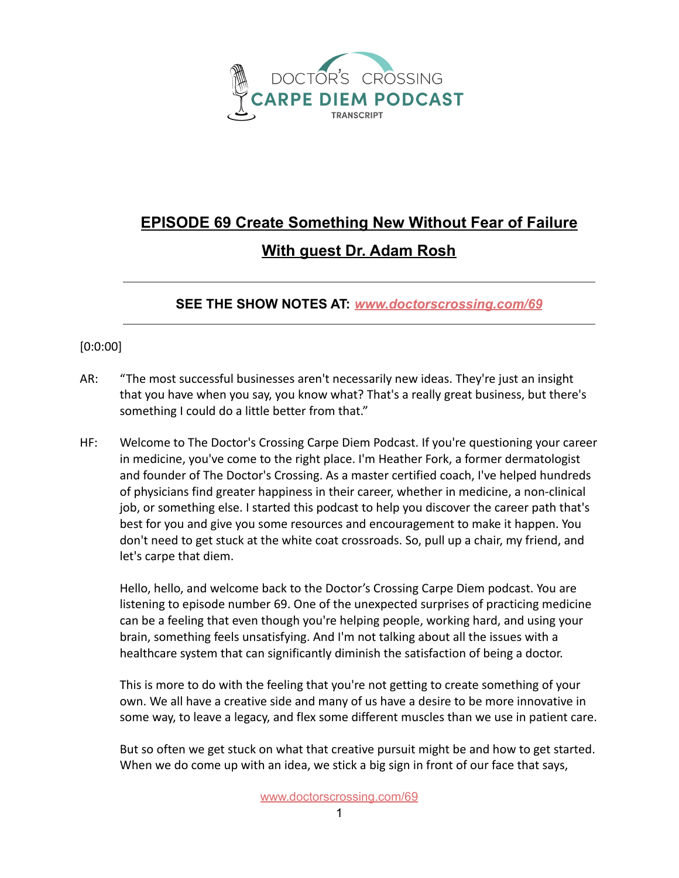

## **EPISODE 69 Create Something New Without Fear of Failure With guest Dr. Adam Rosh**

**SEE THE SHOW NOTES AT:** *[www.doctorscrossing.com/69](http://www.doctorscrossing.com/69)*

## [0:0:00]

- AR: "The most successful businesses aren't necessarily new ideas. They're just an insight that you have when you say, you know what? That's a really great business, but there's something I could do a little better from that."
- HF: Welcome to The Doctor's Crossing Carpe Diem Podcast. If you're questioning your career in medicine, you've come to the right place. I'm Heather Fork, a former dermatologist and founder of The Doctor's Crossing. As a master certified coach, I've helped hundreds of physicians find greater happiness in their career, whether in medicine, a non-clinical job, or something else. I started this podcast to help you discover the career path that's best for you and give you some resources and encouragement to make it happen. You don't need to get stuck at the white coat crossroads. So, pull up a chair, my friend, and let's carpe that diem.

Hello, hello, and welcome back to the Doctor's Crossing Carpe Diem podcast. You are listening to episode number 69. One of the unexpected surprises of practicing medicine can be a feeling that even though you're helping people, working hard, and using your brain, something feels unsatisfying. And I'm not talking about all the issues with a healthcare system that can significantly diminish the satisfaction of being a doctor.

This is more to do with the feeling that you're not getting to create something of your own. We all have a creative side and many of us have a desire to be more innovative in some way, to leave a legacy, and flex some different muscles than we use in patient care.

But so often we get stuck on what that creative pursuit might be and how to get started. When we do come up with an idea, we stick a big sign in front of our face that says,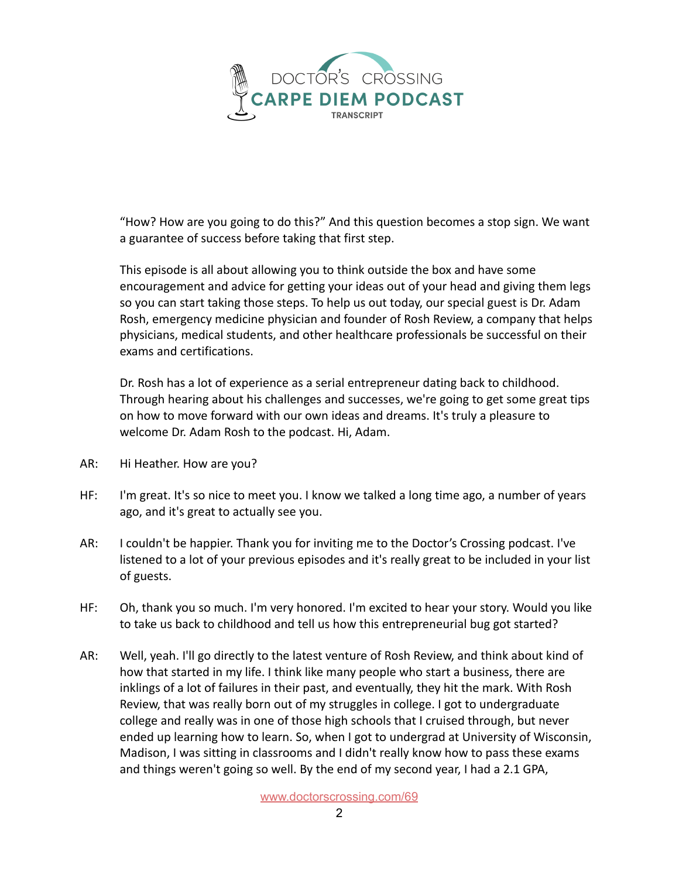

"How? How are you going to do this?" And this question becomes a stop sign. We want a guarantee of success before taking that first step.

This episode is all about allowing you to think outside the box and have some encouragement and advice for getting your ideas out of your head and giving them legs so you can start taking those steps. To help us out today, our special guest is Dr. Adam Rosh, emergency medicine physician and founder of Rosh Review, a company that helps physicians, medical students, and other healthcare professionals be successful on their exams and certifications.

Dr. Rosh has a lot of experience as a serial entrepreneur dating back to childhood. Through hearing about his challenges and successes, we're going to get some great tips on how to move forward with our own ideas and dreams. It's truly a pleasure to welcome Dr. Adam Rosh to the podcast. Hi, Adam.

- AR: Hi Heather. How are you?
- HF: I'm great. It's so nice to meet you. I know we talked a long time ago, a number of years ago, and it's great to actually see you.
- AR: I couldn't be happier. Thank you for inviting me to the Doctor's Crossing podcast. I've listened to a lot of your previous episodes and it's really great to be included in your list of guests.
- HF: Oh, thank you so much. I'm very honored. I'm excited to hear your story. Would you like to take us back to childhood and tell us how this entrepreneurial bug got started?
- AR: Well, yeah. I'll go directly to the latest venture of Rosh Review, and think about kind of how that started in my life. I think like many people who start a business, there are inklings of a lot of failures in their past, and eventually, they hit the mark. With Rosh Review, that was really born out of my struggles in college. I got to undergraduate college and really was in one of those high schools that I cruised through, but never ended up learning how to learn. So, when I got to undergrad at University of Wisconsin, Madison, I was sitting in classrooms and I didn't really know how to pass these exams and things weren't going so well. By the end of my second year, I had a 2.1 GPA,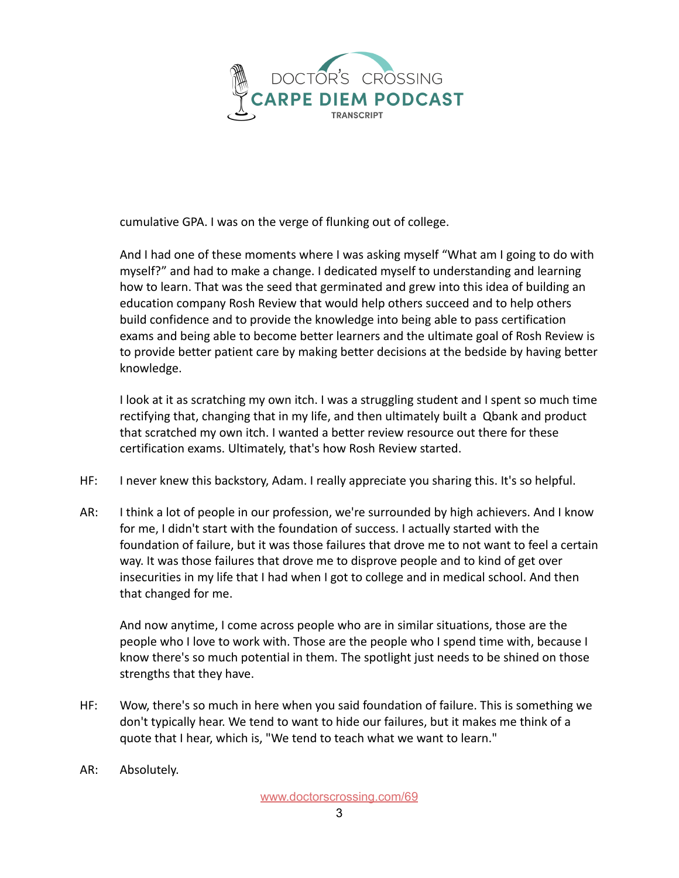

cumulative GPA. I was on the verge of flunking out of college.

And I had one of these moments where I was asking myself "What am I going to do with myself?" and had to make a change. I dedicated myself to understanding and learning how to learn. That was the seed that germinated and grew into this idea of building an education company Rosh Review that would help others succeed and to help others build confidence and to provide the knowledge into being able to pass certification exams and being able to become better learners and the ultimate goal of Rosh Review is to provide better patient care by making better decisions at the bedside by having better knowledge.

I look at it as scratching my own itch. I was a struggling student and I spent so much time rectifying that, changing that in my life, and then ultimately built a Qbank and product that scratched my own itch. I wanted a better review resource out there for these certification exams. Ultimately, that's how Rosh Review started.

- HF: I never knew this backstory, Adam. I really appreciate you sharing this. It's so helpful.
- AR: I think a lot of people in our profession, we're surrounded by high achievers. And I know for me, I didn't start with the foundation of success. I actually started with the foundation of failure, but it was those failures that drove me to not want to feel a certain way. It was those failures that drove me to disprove people and to kind of get over insecurities in my life that I had when I got to college and in medical school. And then that changed for me.

And now anytime, I come across people who are in similar situations, those are the people who I love to work with. Those are the people who I spend time with, because I know there's so much potential in them. The spotlight just needs to be shined on those strengths that they have.

- HF: Wow, there's so much in here when you said foundation of failure. This is something we don't typically hear. We tend to want to hide our failures, but it makes me think of a quote that I hear, which is, "We tend to teach what we want to learn."
- AR: Absolutely.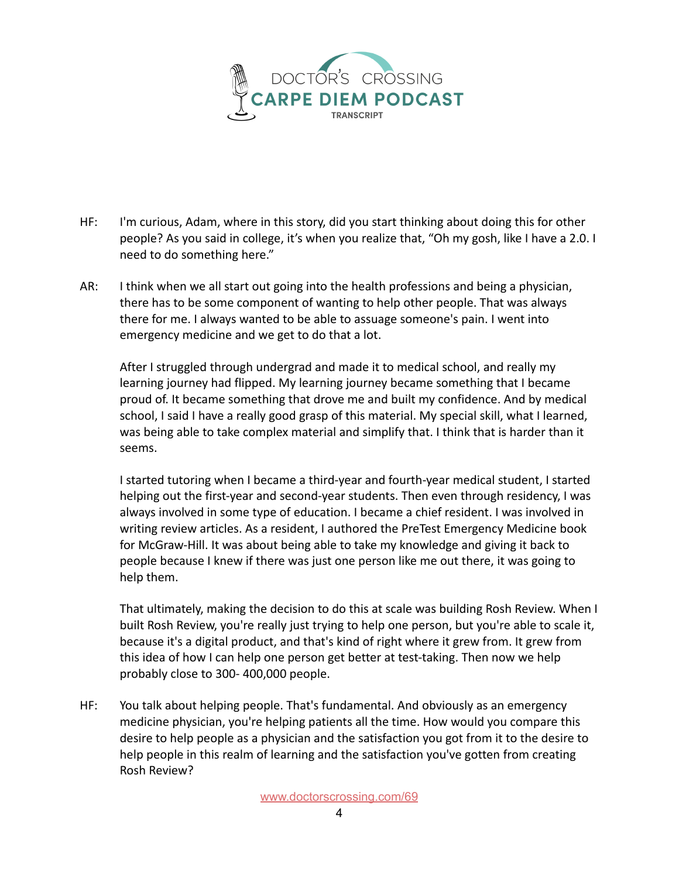

- HF: I'm curious, Adam, where in this story, did you start thinking about doing this for other people? As you said in college, it's when you realize that, "Oh my gosh, like I have a 2.0. I need to do something here."
- AR: I think when we all start out going into the health professions and being a physician, there has to be some component of wanting to help other people. That was always there for me. I always wanted to be able to assuage someone's pain. I went into emergency medicine and we get to do that a lot.

After I struggled through undergrad and made it to medical school, and really my learning journey had flipped. My learning journey became something that I became proud of. It became something that drove me and built my confidence. And by medical school, I said I have a really good grasp of this material. My special skill, what I learned, was being able to take complex material and simplify that. I think that is harder than it seems.

I started tutoring when I became a third-year and fourth-year medical student, I started helping out the first-year and second-year students. Then even through residency, I was always involved in some type of education. I became a chief resident. I was involved in writing review articles. As a resident, I authored the PreTest Emergency Medicine book for McGraw-Hill. It was about being able to take my knowledge and giving it back to people because I knew if there was just one person like me out there, it was going to help them.

That ultimately, making the decision to do this at scale was building Rosh Review. When I built Rosh Review, you're really just trying to help one person, but you're able to scale it, because it's a digital product, and that's kind of right where it grew from. It grew from this idea of how I can help one person get better at test-taking. Then now we help probably close to 300- 400,000 people.

HF: You talk about helping people. That's fundamental. And obviously as an emergency medicine physician, you're helping patients all the time. How would you compare this desire to help people as a physician and the satisfaction you got from it to the desire to help people in this realm of learning and the satisfaction you've gotten from creating Rosh Review?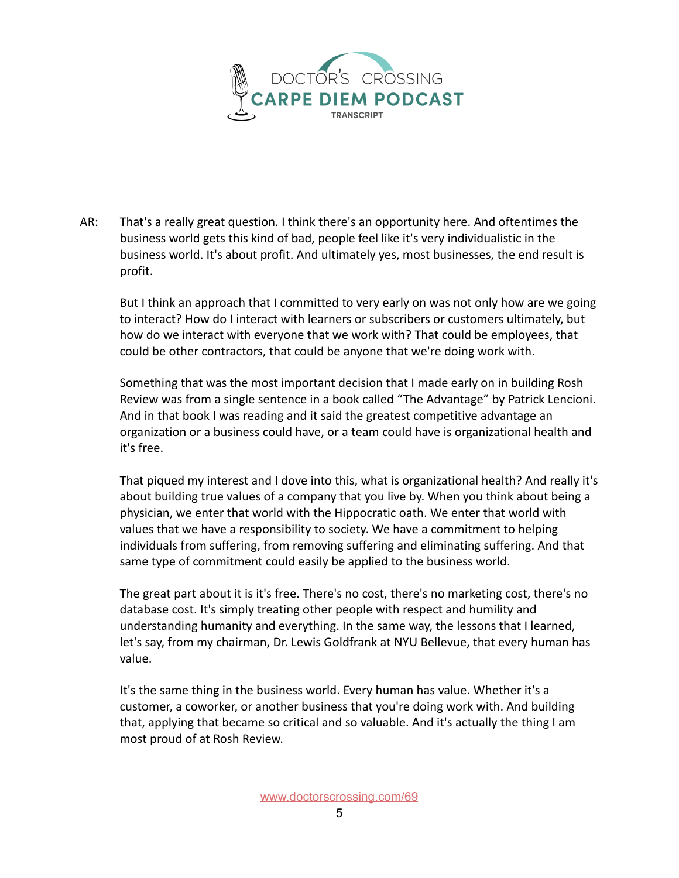

AR: That's a really great question. I think there's an opportunity here. And oftentimes the business world gets this kind of bad, people feel like it's very individualistic in the business world. It's about profit. And ultimately yes, most businesses, the end result is profit.

But I think an approach that I committed to very early on was not only how are we going to interact? How do I interact with learners or subscribers or customers ultimately, but how do we interact with everyone that we work with? That could be employees, that could be other contractors, that could be anyone that we're doing work with.

Something that was the most important decision that I made early on in building Rosh Review was from a single sentence in a book called "The Advantage" by Patrick Lencioni. And in that book I was reading and it said the greatest competitive advantage an organization or a business could have, or a team could have is organizational health and it's free.

That piqued my interest and I dove into this, what is organizational health? And really it's about building true values of a company that you live by. When you think about being a physician, we enter that world with the Hippocratic oath. We enter that world with values that we have a responsibility to society. We have a commitment to helping individuals from suffering, from removing suffering and eliminating suffering. And that same type of commitment could easily be applied to the business world.

The great part about it is it's free. There's no cost, there's no marketing cost, there's no database cost. It's simply treating other people with respect and humility and understanding humanity and everything. In the same way, the lessons that I learned, let's say, from my chairman, Dr. Lewis Goldfrank at NYU Bellevue, that every human has value.

It's the same thing in the business world. Every human has value. Whether it's a customer, a coworker, or another business that you're doing work with. And building that, applying that became so critical and so valuable. And it's actually the thing I am most proud of at Rosh Review.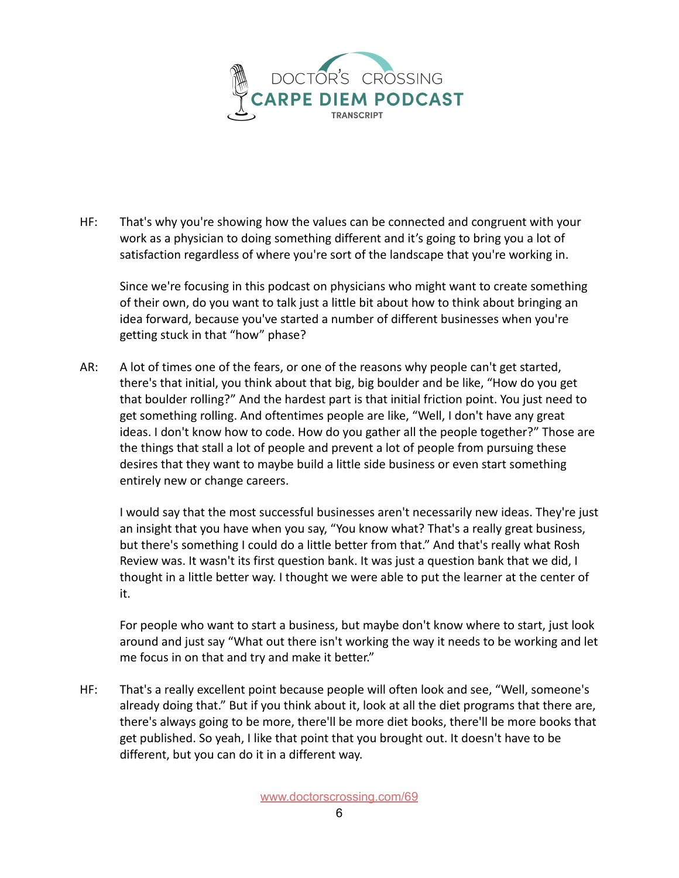

HF: That's why you're showing how the values can be connected and congruent with your work as a physician to doing something different and it's going to bring you a lot of satisfaction regardless of where you're sort of the landscape that you're working in.

Since we're focusing in this podcast on physicians who might want to create something of their own, do you want to talk just a little bit about how to think about bringing an idea forward, because you've started a number of different businesses when you're getting stuck in that "how" phase?

AR: A lot of times one of the fears, or one of the reasons why people can't get started, there's that initial, you think about that big, big boulder and be like, "How do you get that boulder rolling?" And the hardest part is that initial friction point. You just need to get something rolling. And oftentimes people are like, "Well, I don't have any great ideas. I don't know how to code. How do you gather all the people together?" Those are the things that stall a lot of people and prevent a lot of people from pursuing these desires that they want to maybe build a little side business or even start something entirely new or change careers.

I would say that the most successful businesses aren't necessarily new ideas. They're just an insight that you have when you say, "You know what? That's a really great business, but there's something I could do a little better from that." And that's really what Rosh Review was. It wasn't its first question bank. It was just a question bank that we did, I thought in a little better way. I thought we were able to put the learner at the center of it.

For people who want to start a business, but maybe don't know where to start, just look around and just say "What out there isn't working the way it needs to be working and let me focus in on that and try and make it better."

HF: That's a really excellent point because people will often look and see, "Well, someone's already doing that." But if you think about it, look at all the diet programs that there are, there's always going to be more, there'll be more diet books, there'll be more books that get published. So yeah, I like that point that you brought out. It doesn't have to be different, but you can do it in a different way.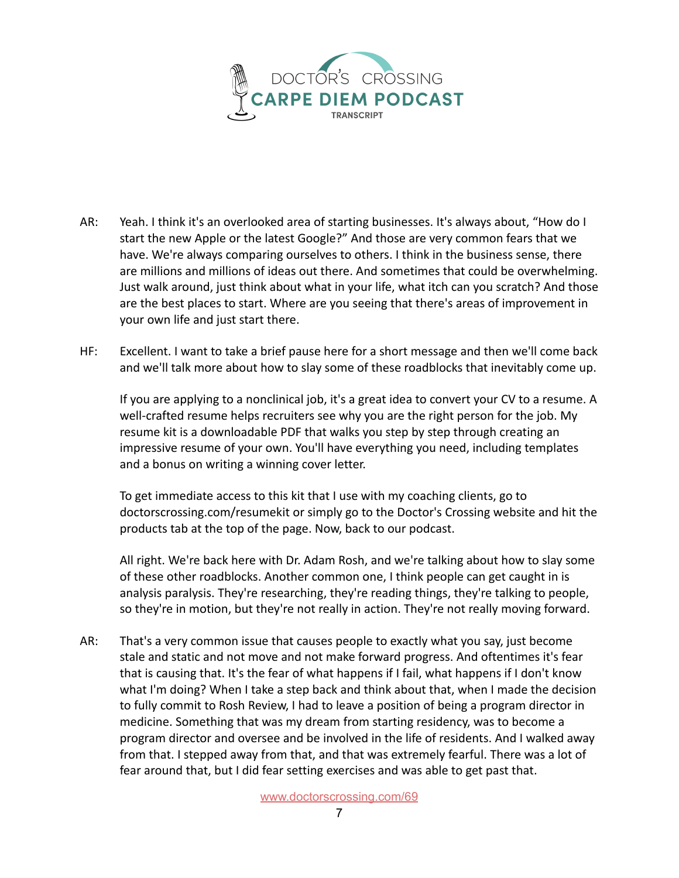

- AR: Yeah. I think it's an overlooked area of starting businesses. It's always about, "How do I start the new Apple or the latest Google?" And those are very common fears that we have. We're always comparing ourselves to others. I think in the business sense, there are millions and millions of ideas out there. And sometimes that could be overwhelming. Just walk around, just think about what in your life, what itch can you scratch? And those are the best places to start. Where are you seeing that there's areas of improvement in your own life and just start there.
- HF: Excellent. I want to take a brief pause here for a short message and then we'll come back and we'll talk more about how to slay some of these roadblocks that inevitably come up.

If you are applying to a nonclinical job, it's a great idea to convert your CV to a resume. A well-crafted resume helps recruiters see why you are the right person for the job. My resume kit is a downloadable PDF that walks you step by step through creating an impressive resume of your own. You'll have everything you need, including templates and a bonus on writing a winning cover letter.

To get immediate access to this kit that I use with my coaching clients, go to doctorscrossing.com/resumekit or simply go to the Doctor's Crossing website and hit the products tab at the top of the page. Now, back to our podcast.

All right. We're back here with Dr. Adam Rosh, and we're talking about how to slay some of these other roadblocks. Another common one, I think people can get caught in is analysis paralysis. They're researching, they're reading things, they're talking to people, so they're in motion, but they're not really in action. They're not really moving forward.

AR: That's a very common issue that causes people to exactly what you say, just become stale and static and not move and not make forward progress. And oftentimes it's fear that is causing that. It's the fear of what happens if I fail, what happens if I don't know what I'm doing? When I take a step back and think about that, when I made the decision to fully commit to Rosh Review, I had to leave a position of being a program director in medicine. Something that was my dream from starting residency, was to become a program director and oversee and be involved in the life of residents. And I walked away from that. I stepped away from that, and that was extremely fearful. There was a lot of fear around that, but I did fear setting exercises and was able to get past that.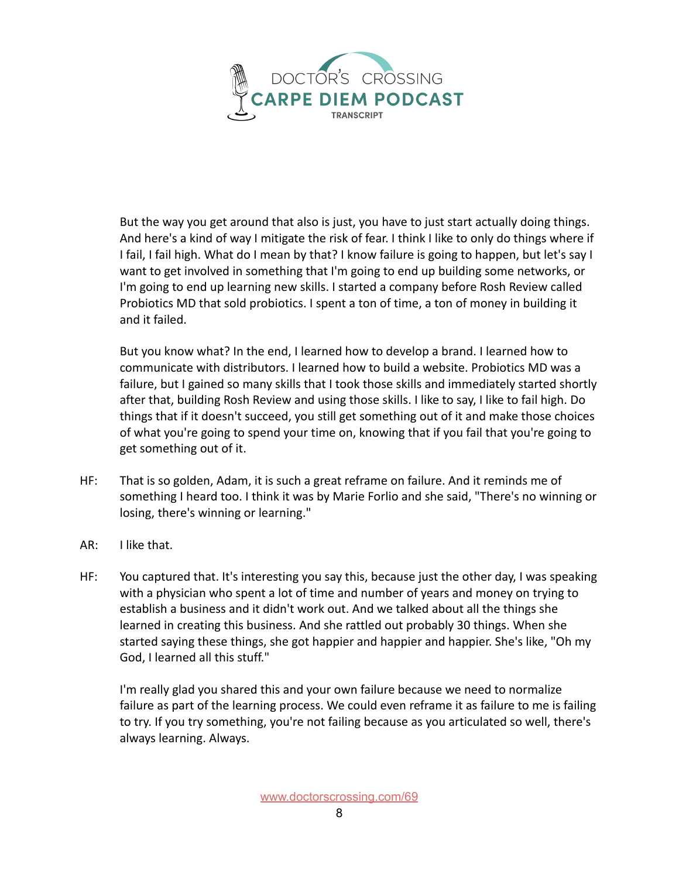

But the way you get around that also is just, you have to just start actually doing things. And here's a kind of way I mitigate the risk of fear. I think I like to only do things where if I fail, I fail high. What do I mean by that? I know failure is going to happen, but let's say I want to get involved in something that I'm going to end up building some networks, or I'm going to end up learning new skills. I started a company before Rosh Review called Probiotics MD that sold probiotics. I spent a ton of time, a ton of money in building it and it failed.

But you know what? In the end, I learned how to develop a brand. I learned how to communicate with distributors. I learned how to build a website. Probiotics MD was a failure, but I gained so many skills that I took those skills and immediately started shortly after that, building Rosh Review and using those skills. I like to say, I like to fail high. Do things that if it doesn't succeed, you still get something out of it and make those choices of what you're going to spend your time on, knowing that if you fail that you're going to get something out of it.

- HF: That is so golden, Adam, it is such a great reframe on failure. And it reminds me of something I heard too. I think it was by Marie Forlio and she said, "There's no winning or losing, there's winning or learning."
- AR: I like that.
- HF: You captured that. It's interesting you say this, because just the other day, I was speaking with a physician who spent a lot of time and number of years and money on trying to establish a business and it didn't work out. And we talked about all the things she learned in creating this business. And she rattled out probably 30 things. When she started saying these things, she got happier and happier and happier. She's like, "Oh my God, I learned all this stuff."

I'm really glad you shared this and your own failure because we need to normalize failure as part of the learning process. We could even reframe it as failure to me is failing to try. If you try something, you're not failing because as you articulated so well, there's always learning. Always.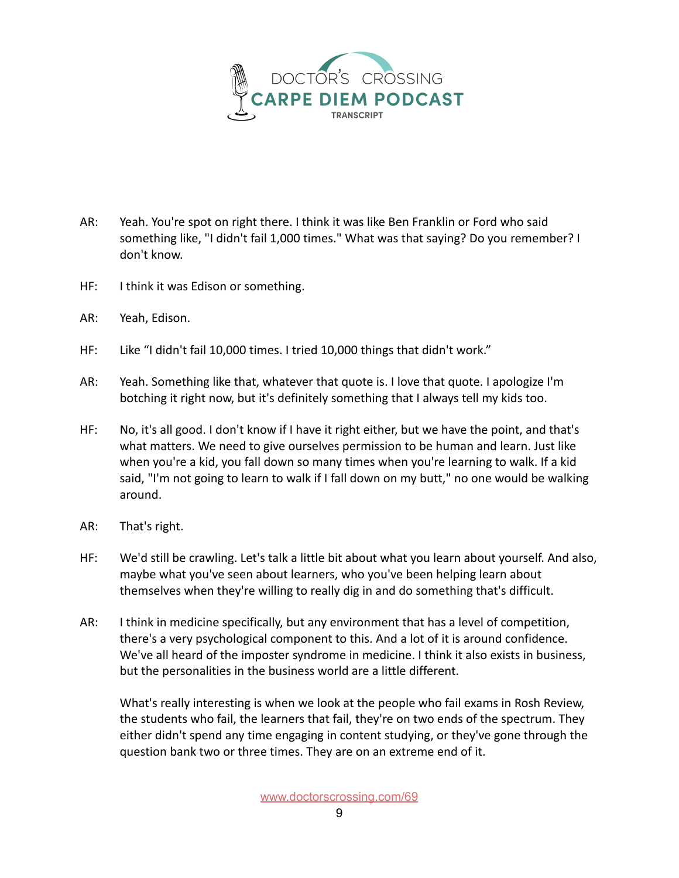

- AR: Yeah. You're spot on right there. I think it was like Ben Franklin or Ford who said something like, "I didn't fail 1,000 times." What was that saying? Do you remember? I don't know.
- HF: I think it was Edison or something.
- AR: Yeah, Edison.
- HF: Like "I didn't fail 10,000 times. I tried 10,000 things that didn't work."
- AR: Yeah. Something like that, whatever that quote is. I love that quote. I apologize I'm botching it right now, but it's definitely something that I always tell my kids too.
- HF: No, it's all good. I don't know if I have it right either, but we have the point, and that's what matters. We need to give ourselves permission to be human and learn. Just like when you're a kid, you fall down so many times when you're learning to walk. If a kid said, "I'm not going to learn to walk if I fall down on my butt," no one would be walking around.
- AR: That's right.
- HF: We'd still be crawling. Let's talk a little bit about what you learn about yourself. And also, maybe what you've seen about learners, who you've been helping learn about themselves when they're willing to really dig in and do something that's difficult.
- AR: I think in medicine specifically, but any environment that has a level of competition, there's a very psychological component to this. And a lot of it is around confidence. We've all heard of the imposter syndrome in medicine. I think it also exists in business, but the personalities in the business world are a little different.

What's really interesting is when we look at the people who fail exams in Rosh Review, the students who fail, the learners that fail, they're on two ends of the spectrum. They either didn't spend any time engaging in content studying, or they've gone through the question bank two or three times. They are on an extreme end of it.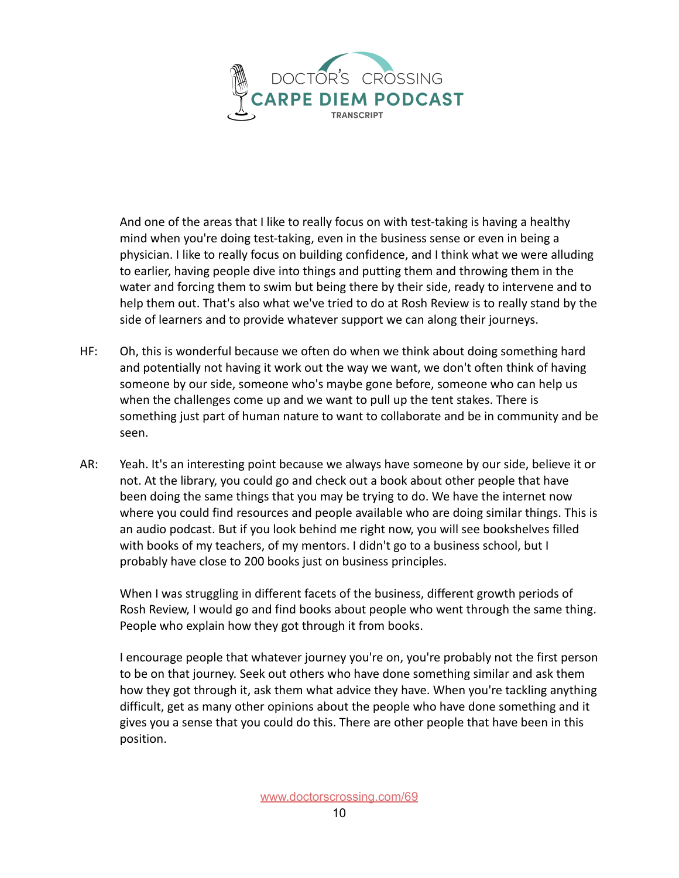

And one of the areas that I like to really focus on with test-taking is having a healthy mind when you're doing test-taking, even in the business sense or even in being a physician. I like to really focus on building confidence, and I think what we were alluding to earlier, having people dive into things and putting them and throwing them in the water and forcing them to swim but being there by their side, ready to intervene and to help them out. That's also what we've tried to do at Rosh Review is to really stand by the side of learners and to provide whatever support we can along their journeys.

- HF: Oh, this is wonderful because we often do when we think about doing something hard and potentially not having it work out the way we want, we don't often think of having someone by our side, someone who's maybe gone before, someone who can help us when the challenges come up and we want to pull up the tent stakes. There is something just part of human nature to want to collaborate and be in community and be seen.
- AR: Yeah. It's an interesting point because we always have someone by our side, believe it or not. At the library, you could go and check out a book about other people that have been doing the same things that you may be trying to do. We have the internet now where you could find resources and people available who are doing similar things. This is an audio podcast. But if you look behind me right now, you will see bookshelves filled with books of my teachers, of my mentors. I didn't go to a business school, but I probably have close to 200 books just on business principles.

When I was struggling in different facets of the business, different growth periods of Rosh Review, I would go and find books about people who went through the same thing. People who explain how they got through it from books.

I encourage people that whatever journey you're on, you're probably not the first person to be on that journey. Seek out others who have done something similar and ask them how they got through it, ask them what advice they have. When you're tackling anything difficult, get as many other opinions about the people who have done something and it gives you a sense that you could do this. There are other people that have been in this position.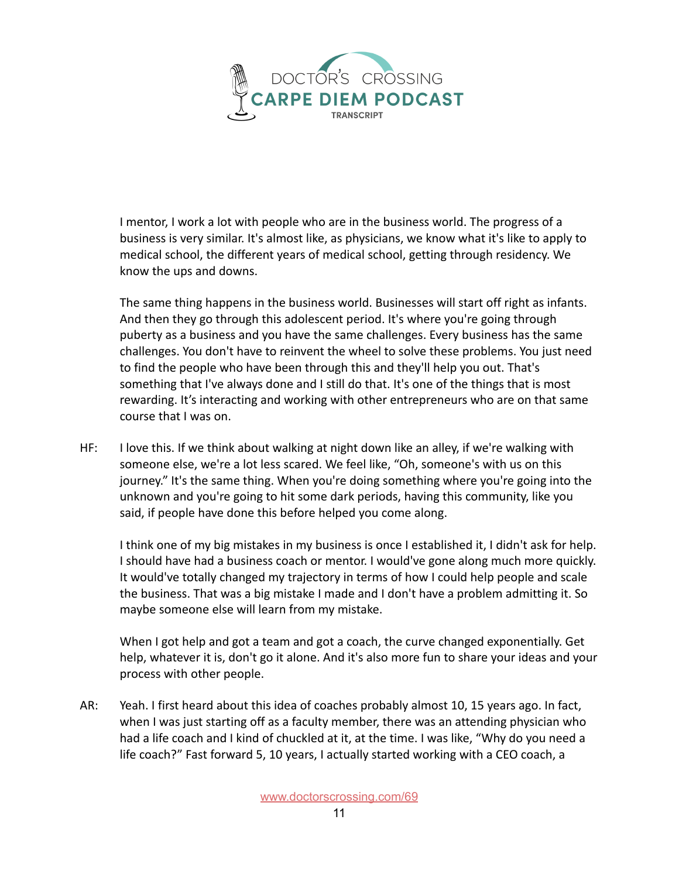

I mentor, I work a lot with people who are in the business world. The progress of a business is very similar. It's almost like, as physicians, we know what it's like to apply to medical school, the different years of medical school, getting through residency. We know the ups and downs.

The same thing happens in the business world. Businesses will start off right as infants. And then they go through this adolescent period. It's where you're going through puberty as a business and you have the same challenges. Every business has the same challenges. You don't have to reinvent the wheel to solve these problems. You just need to find the people who have been through this and they'll help you out. That's something that I've always done and I still do that. It's one of the things that is most rewarding. It's interacting and working with other entrepreneurs who are on that same course that I was on.

HF: I love this. If we think about walking at night down like an alley, if we're walking with someone else, we're a lot less scared. We feel like, "Oh, someone's with us on this journey." It's the same thing. When you're doing something where you're going into the unknown and you're going to hit some dark periods, having this community, like you said, if people have done this before helped you come along.

I think one of my big mistakes in my business is once I established it, I didn't ask for help. I should have had a business coach or mentor. I would've gone along much more quickly. It would've totally changed my trajectory in terms of how I could help people and scale the business. That was a big mistake I made and I don't have a problem admitting it. So maybe someone else will learn from my mistake.

When I got help and got a team and got a coach, the curve changed exponentially. Get help, whatever it is, don't go it alone. And it's also more fun to share your ideas and your process with other people.

AR: Yeah. I first heard about this idea of coaches probably almost 10, 15 years ago. In fact, when I was just starting off as a faculty member, there was an attending physician who had a life coach and I kind of chuckled at it, at the time. I was like, "Why do you need a life coach?" Fast forward 5, 10 years, I actually started working with a CEO coach, a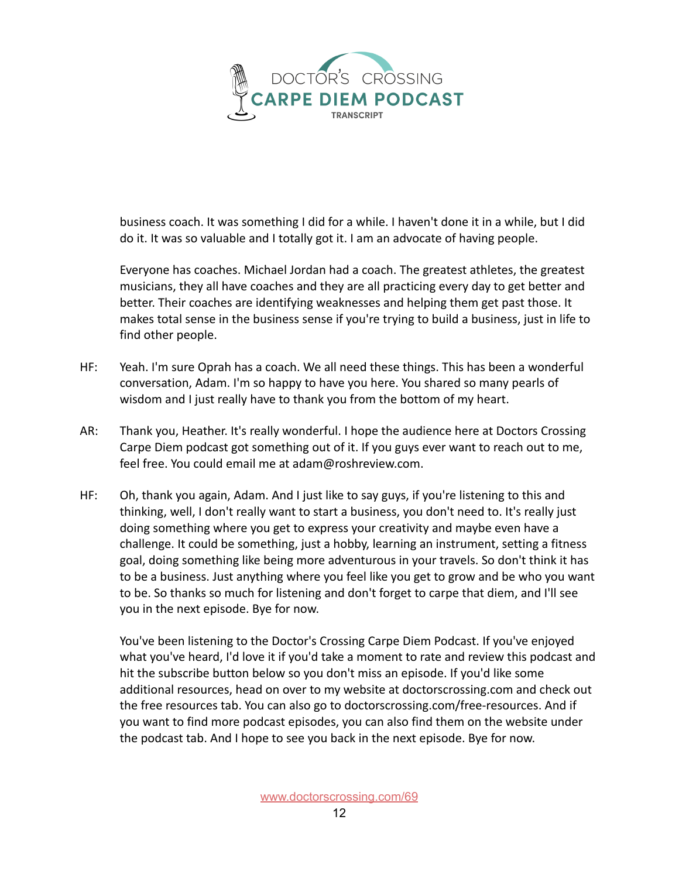

business coach. It was something I did for a while. I haven't done it in a while, but I did do it. It was so valuable and I totally got it. I am an advocate of having people.

Everyone has coaches. Michael Jordan had a coach. The greatest athletes, the greatest musicians, they all have coaches and they are all practicing every day to get better and better. Their coaches are identifying weaknesses and helping them get past those. It makes total sense in the business sense if you're trying to build a business, just in life to find other people.

- HF: Yeah. I'm sure Oprah has a coach. We all need these things. This has been a wonderful conversation, Adam. I'm so happy to have you here. You shared so many pearls of wisdom and I just really have to thank you from the bottom of my heart.
- AR: Thank you, Heather. It's really wonderful. I hope the audience here at Doctors Crossing Carpe Diem podcast got something out of it. If you guys ever want to reach out to me, feel free. You could email me at adam@roshreview.com.
- HF: Oh, thank you again, Adam. And I just like to say guys, if you're listening to this and thinking, well, I don't really want to start a business, you don't need to. It's really just doing something where you get to express your creativity and maybe even have a challenge. It could be something, just a hobby, learning an instrument, setting a fitness goal, doing something like being more adventurous in your travels. So don't think it has to be a business. Just anything where you feel like you get to grow and be who you want to be. So thanks so much for listening and don't forget to carpe that diem, and I'll see you in the next episode. Bye for now.

You've been listening to the Doctor's Crossing Carpe Diem Podcast. If you've enjoyed what you've heard, I'd love it if you'd take a moment to rate and review this podcast and hit the subscribe button below so you don't miss an episode. If you'd like some additional resources, head on over to my website at doctorscrossing.com and check out the free resources tab. You can also go to doctorscrossing.com/free-resources. And if you want to find more podcast episodes, you can also find them on the website under the podcast tab. And I hope to see you back in the next episode. Bye for now.